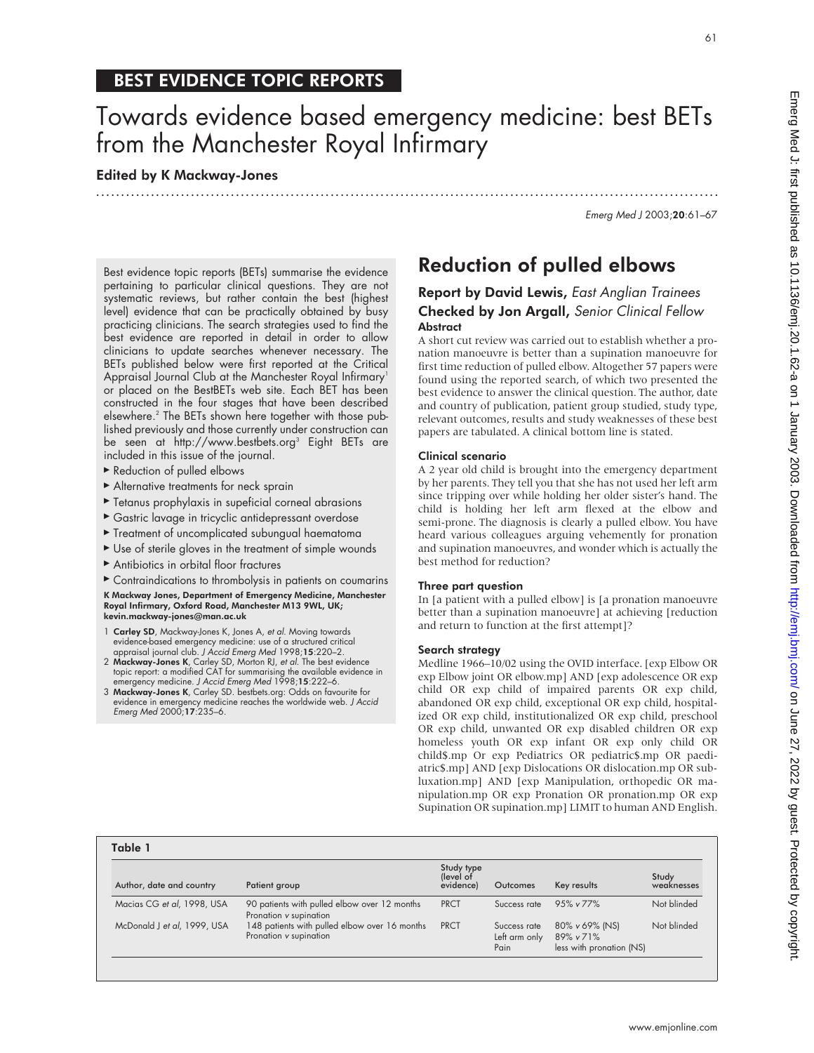# BEST EVIDENCE TOPIC REPORTS

.............................................................................................................................

# Towards evidence based emergency medicine: best BETs from the Manchester Royal Infirmary

# Edited by K Mackway-Jones

Emerg Med J 2003;20:61–67

Best evidence topic reports (BETs) summarise the evidence pertaining to particular clinical questions. They are not systematic reviews, but rather contain the best (highest level) evidence that can be practically obtained by busy practicing clinicians. The search strategies used to find the best evidence are reported in detail in order to allow clinicians to update searches whenever necessary. The BETs published below were first reported at the Critical Appraisal Journal Club at the Manchester Royal Infirmary<sup>1</sup> or placed on the BestBETs web site. Each BET has been constructed in the four stages that have been described elsewhere.<sup>2</sup> The BETs shown here together with those published previously and those currently under construction can be seen at http://www.bestbets.org<sup>3</sup> Eight BETs are included in this issue of the journal.

- $\blacktriangleright$  Reduction of pulled elbows
- $\blacktriangleright$  Alternative treatments for neck sprain
- $\blacktriangleright$  Tetanus prophylaxis in supeficial corneal abrasions
- $\blacktriangleright$  Gastric lavage in tricyclic antidepressant overdose
- $\blacktriangleright$  Treatment of uncomplicated subungual haematoma
- $\blacktriangleright$  Use of sterile gloves in the treatment of simple wounds
- $\blacktriangleright$  Antibiotics in orbital floor fractures

 $\blacktriangleright$  Contraindications to thrombolysis in patients on coumarins K Mackway Jones, Department of Emergency Medicine, Manchester Royal Infirmary, Oxford Road, Manchester M13 9WL, UK; kevin.mackway-jones@man.ac.uk

- 1 Carley SD, Mackway-Jones K, Jones A, et al. Moving towards evidence-based emergency medicine: use of a structured critical appraisal journal club. J Accid Emerg Med 1998;15:220–2.
- 2 Mackway-Jones K, Carley SD, Morton RJ, *et al.* The best evidence<br>topic report: a modified CAT for summarising the available evidence in<br>emergency medicine. J Accid Emerg Med 1998;15:222–6.<br>3 Mackway-Jones K, Carley SD.
- evidence in emergency medicine reaches the worldwide web. J Accid Emerg Med 2000;17:235-6.

# Reduction of pulled elbows

# Report by David Lewis, East Anglian Trainees Checked by Jon Argall, Senior Clinical Fellow **Abstract**

A short cut review was carried out to establish whether a pronation manoeuvre is better than a supination manoeuvre for first time reduction of pulled elbow. Altogether 57 papers were found using the reported search, of which two presented the best evidence to answer the clinical question. The author, date and country of publication, patient group studied, study type, relevant outcomes, results and study weaknesses of these best papers are tabulated. A clinical bottom line is stated.

### Clinical scenario

A 2 year old child is brought into the emergency department by her parents. They tell you that she has not used her left arm since tripping over while holding her older sister's hand. The child is holding her left arm flexed at the elbow and semi-prone. The diagnosis is clearly a pulled elbow. You have heard various colleagues arguing vehemently for pronation and supination manoeuvres, and wonder which is actually the best method for reduction?

### Three part question

In [a patient with a pulled elbow] is [a pronation manoeuvre better than a supination manoeuvre] at achieving [reduction and return to function at the first attempt]?

### Search strategy

Medline 1966–10/02 using the OVID interface. [exp Elbow OR exp Elbow joint OR elbow.mp] AND [exp adolescence OR exp child OR exp child of impaired parents OR exp child, abandoned OR exp child, exceptional OR exp child, hospitalized OR exp child, institutionalized OR exp child, preschool OR exp child, unwanted OR exp disabled children OR exp homeless youth OR exp infant OR exp only child OR child\$.mp Or exp Pediatrics OR pediatric\$.mp OR paediatric\$.mp] AND [exp Dislocations OR dislocation.mp OR subluxation.mp] AND [exp Manipulation, orthopedic OR manipulation.mp OR exp Pronation OR pronation.mp OR exp Supination OR supination.mp] LIMIT to human AND English.

## Table 1

| Author, date and country    | Patient group                                                                  | Study type<br>(level of<br>evidence) | Outcomes                              | Key results                                             | Study<br>weaknesses |
|-----------------------------|--------------------------------------------------------------------------------|--------------------------------------|---------------------------------------|---------------------------------------------------------|---------------------|
| Macias CG et al, 1998, USA  | 90 patients with pulled elbow over 12 months<br>Pronation <i>v</i> supination  | <b>PRCT</b>                          | Success rate                          | $95\% \times 77\%$                                      | Not blinded         |
| McDonald J et al, 1999, USA | 148 patients with pulled elbow over 16 months<br>Pronation <i>v</i> supination | <b>PRCT</b>                          | Success rate<br>Left arm only<br>Pain | 80% v 69% (NS)<br>89% v 71%<br>less with pronation (NS) | Not blinded         |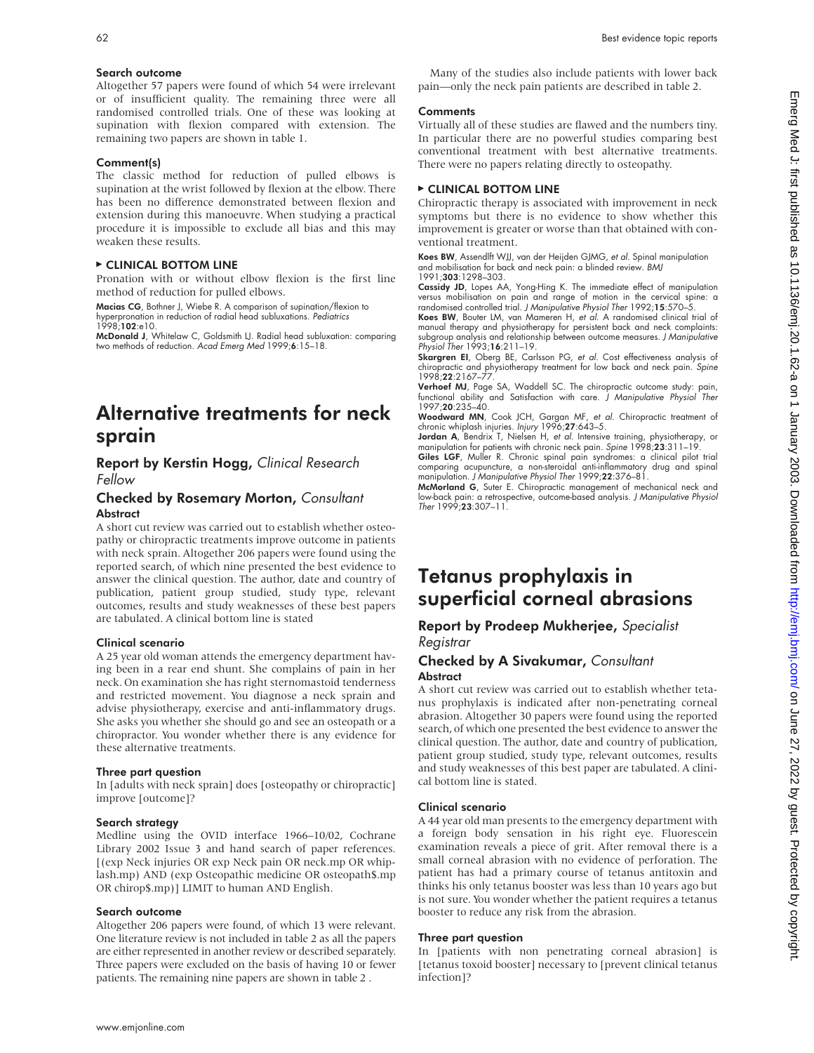### Search outcome

Altogether 57 papers were found of which 54 were irrelevant or of insufficient quality. The remaining three were all randomised controlled trials. One of these was looking at supination with flexion compared with extension. The remaining two papers are shown in table 1.

### Comment(s)

The classic method for reduction of pulled elbows is supination at the wrist followed by flexion at the elbow. There has been no difference demonstrated between flexion and extension during this manoeuvre. When studying a practical procedure it is impossible to exclude all bias and this may weaken these results.

### **EXAMPLE CLINICAL BOTTOM LINE**

Pronation with or without elbow flexion is the first line method of reduction for pulled elbows.

Macias CG, Bothner J, Wiebe R. A comparison of supination/flexion to hyperpronation in reduction of radial head subluxations. Pediatrics 1998;102:e10.

McDonald J, Whitelaw C, Goldsmith LJ. Radial head subluxation: comparing two methods of reduction. Acad Emerg Med 1999;6:15–18.

# Alternative treatments for neck sprain

# Report by Kerstin Hogg, Clinical Research Fellow

### Checked by Rosemary Morton, Consultant **Abstract**

A short cut review was carried out to establish whether osteopathy or chiropractic treatments improve outcome in patients with neck sprain. Altogether 206 papers were found using the reported search, of which nine presented the best evidence to answer the clinical question. The author, date and country of publication, patient group studied, study type, relevant outcomes, results and study weaknesses of these best papers are tabulated. A clinical bottom line is stated

### Clinical scenario

A 25 year old woman attends the emergency department having been in a rear end shunt. She complains of pain in her neck. On examination she has right sternomastoid tenderness and restricted movement. You diagnose a neck sprain and advise physiotherapy, exercise and anti-inflammatory drugs. She asks you whether she should go and see an osteopath or a chiropractor. You wonder whether there is any evidence for these alternative treatments.

#### Three part question

In [adults with neck sprain] does [osteopathy or chiropractic] improve [outcome]?

#### Search strategy

Medline using the OVID interface 1966–10/02, Cochrane Library 2002 Issue 3 and hand search of paper references. [(exp Neck injuries OR exp Neck pain OR neck.mp OR whiplash.mp) AND (exp Osteopathic medicine OR osteopath\$.mp OR chirop\$.mp)] LIMIT to human AND English.

### Search outcome

Altogether 206 papers were found, of which 13 were relevant. One literature review is not included in table 2 as all the papers are either represented in another review or described separately. Three papers were excluded on the basis of having 10 or fewer patients. The remaining nine papers are shown in table 2 .

#### **Comments**

Virtually all of these studies are flawed and the numbers tiny. In particular there are no powerful studies comparing best conventional treatment with best alternative treatments. There were no papers relating directly to osteopathy.

### $\triangleright$  CLINICAL BOTTOM LINE

Chiropractic therapy is associated with improvement in neck symptoms but there is no evidence to show whether this improvement is greater or worse than that obtained with conventional treatment.

Koes BW, Assendlft WJJ, van der Heijden GJMG, et al. Spinal manipulation and mobilisation for back and neck pain: a blinded review. BMJ 1991;303:1298–303.

Cassidy JD, Lopes AA, Yong-Hing K. The immediate effect of manipulation versus mobilisation on pain and range of motion in the cervical spine: a randomised controlled trial. J Manipulative Physiol Ther 1992;15:570–5.

Koes BW, Bouter LM, van Mameren H, et al. A randomised clinical trial of manual therapy and physiotherapy for persistent back and neck complaints: subgroup analysis and relationship between outcome measures. J Manipulative Physiol Ther 1993;16:211-19.

Skargren EI, Oberg BE, Carlsson PG, et al. Cost effectiveness analysis of chiropractic and physiotherapy treatment for low back and neck pain. Spine 1998;22:2167–77.

Verhoef MJ, Page SA, Waddell SC. The chiropractic outcome study: pain, functional ability and Satisfaction with care. J Manipulative Physiol Ther 1997;20:235–40.

Woodward MN, Cook JCH, Gargan MF, et al. Chiropractic treatment of

chronic whiplash injuries. *Injury* 1996;**27**:643–5.<br>**Jordan A**, Bendrix T, Nielsen H, *et al*. Intensive training, physiotherapy, or<br>manipulation for patients with chronic neck pain. S*pine* 1998;**23**:311–19. Giles LGF, Muller R. Chronic spinal pain syndromes: a clinical pilot trial

comparing acupuncture, a non-steroidal anti-inflammatory drug and spinal manipulation. J Manipulative Physiol Ther 1999;22:376-81.

McMorland G, Suter E. Chiropractic management of mechanical neck and low-back pain: a retrospective, outcome-based analysis. J Manipulative Physiol Ther 1999;23:307-11.

# Tetanus prophylaxis in superficial corneal abrasions

# Report by Prodeep Mukherjee, Specialist Registrar

## Checked by A Sivakumar, Consultant **Abstract**

A short cut review was carried out to establish whether tetanus prophylaxis is indicated after non-penetrating corneal abrasion. Altogether 30 papers were found using the reported search, of which one presented the best evidence to answer the clinical question. The author, date and country of publication, patient group studied, study type, relevant outcomes, results and study weaknesses of this best paper are tabulated. A clinical bottom line is stated.

### Clinical scenario

A 44 year old man presents to the emergency department with a foreign body sensation in his right eye. Fluorescein examination reveals a piece of grit. After removal there is a small corneal abrasion with no evidence of perforation. The patient has had a primary course of tetanus antitoxin and thinks his only tetanus booster was less than 10 years ago but is not sure. You wonder whether the patient requires a tetanus booster to reduce any risk from the abrasion.

#### Three part question

In [patients with non penetrating corneal abrasion] is [tetanus toxoid booster] necessary to [prevent clinical tetanus infection]?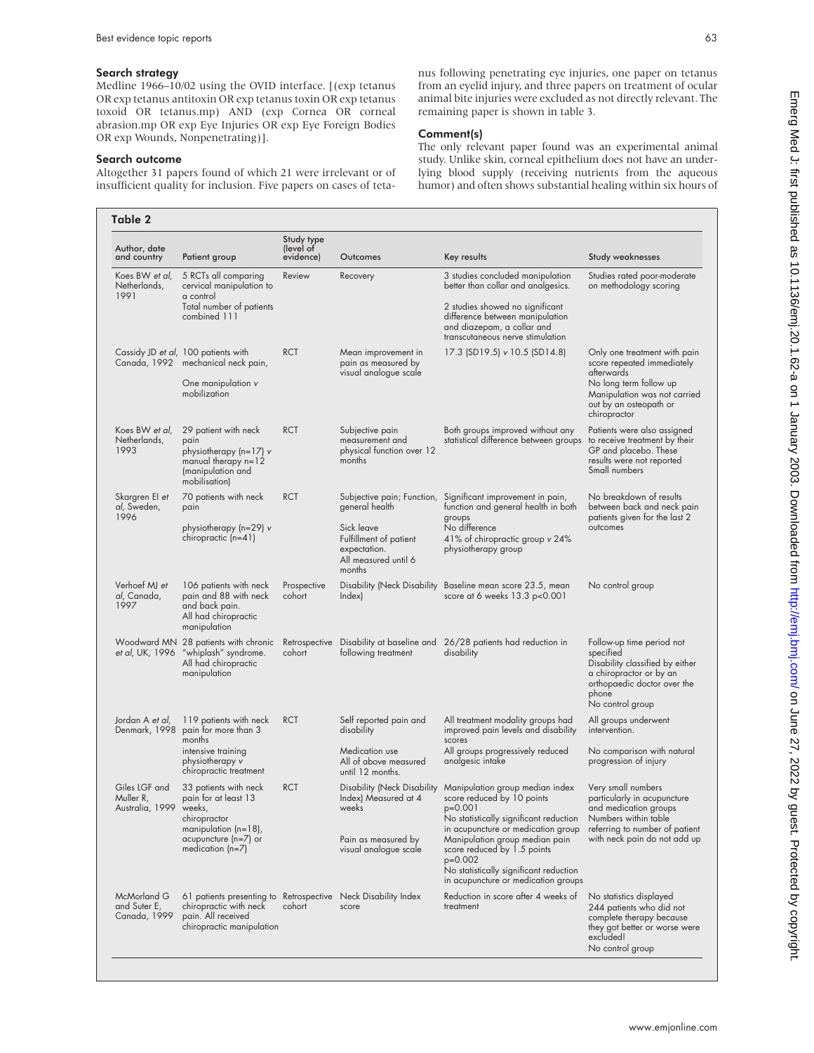### Search strategy

Medline 1966–10/02 using the OVID interface. [(exp tetanus OR exp tetanus antitoxin OR exp tetanus toxin OR exp tetanus toxoid OR tetanus.mp) AND (exp Cornea OR corneal abrasion.mp OR exp Eye Injuries OR exp Eye Foreign Bodies OR exp Wounds, Nonpenetrating)].

### Search outcome

Altogether 31 papers found of which 21 were irrelevant or of insufficient quality for inclusion. Five papers on cases of tetanus following penetrating eye injuries, one paper on tetanus from an eyelid injury, and three papers on treatment of ocular animal bite injuries were excluded as not directly relevant. The remaining paper is shown in table 3.

### Comment(s)

The only relevant paper found was an experimental animal study. Unlike skin, corneal epithelium does not have an underlying blood supply (receiving nutrients from the aqueous humor) and often shows substantial healing within six hours of

| Author, date<br>and country                          | Patient group                                                                                                                              | Study type<br>(level of<br>evidence) | Outcomes                                                                               | Key results                                                                                                                                                                                                                               | Study weaknesses                                                                                                                                                 |  |
|------------------------------------------------------|--------------------------------------------------------------------------------------------------------------------------------------------|--------------------------------------|----------------------------------------------------------------------------------------|-------------------------------------------------------------------------------------------------------------------------------------------------------------------------------------------------------------------------------------------|------------------------------------------------------------------------------------------------------------------------------------------------------------------|--|
| Koes BW <i>et al</i> ,<br>Netherlands,<br>1991       | 5 RCTs all comparing<br>cervical manipulation to<br>a control                                                                              | Review                               | Recovery                                                                               | 3 studies concluded manipulation<br>better than collar and analgesics.                                                                                                                                                                    | Studies rated poor-moderate<br>on methodology scoring                                                                                                            |  |
|                                                      | Total number of patients<br>combined 111                                                                                                   |                                      |                                                                                        | 2 studies showed no significant<br>difference between manipulation<br>and diazepam, a collar and<br>transcutaneous nerve stimulation                                                                                                      |                                                                                                                                                                  |  |
|                                                      | Cassidy JD et al, 100 patients with<br>Canada, 1992 mechanical neck pain,                                                                  | <b>RCT</b>                           | Mean improvement in<br>pain as measured by<br>visual analogue scale                    | 17.3 (SD19.5) v 10.5 (SD14.8)                                                                                                                                                                                                             | Only one treatment with pain<br>score repeated immediately<br>afterwards                                                                                         |  |
|                                                      | One manipulation v<br>mobilization                                                                                                         |                                      |                                                                                        |                                                                                                                                                                                                                                           | No long term follow up<br>Manipulation was not carried<br>out by an osteopath or<br>chiropractor                                                                 |  |
| Koes BW <i>et al</i> ,<br>Netherlands,<br>1993       | 29 patient with neck<br>pain<br>physiotherapy (n= $17$ ) v<br>manual therapy $n=12$<br>(manipulation and<br>mobilisation)                  | <b>RCT</b>                           | Subjective pain<br>measurement and<br>physical function over 12<br>months              | Both groups improved without any<br>statistical difference between groups                                                                                                                                                                 | Patients were also assigned<br>to receive treatment by their<br>GP and placebo. These<br>results were not reported<br>Small numbers                              |  |
| Skargren El et<br><i>al,</i> Sweden,<br>1996         | 70 patients with neck<br>pain                                                                                                              | <b>RCT</b>                           | Subjective pain; Function,<br>general health                                           | Significant improvement in pain,<br>function and general health in both<br>groups<br>No difference<br>41% of chiropractic group v 24%<br>physiotherapy group                                                                              | No breakdown of results<br>between back and neck pain<br>patients given for the last 2                                                                           |  |
|                                                      | physiotherapy ( $n=29$ ) v<br>chiropractic (n=41)                                                                                          |                                      | Sick leave<br>Fulfillment of patient<br>expectation.<br>All measured until 6<br>months |                                                                                                                                                                                                                                           | outcomes                                                                                                                                                         |  |
| Verhoef MJ et<br><i>al,</i> Canada,<br>1997          | 106 patients with neck<br>pain and 88 with neck<br>and back pain.<br>All had chiropractic<br>manipulation                                  | Prospective<br>cohort                | Index)                                                                                 | Disability (Neck Disability Baseline mean score 23.5, mean<br>score at 6 weeks 13.3 p<0.001                                                                                                                                               | No control group                                                                                                                                                 |  |
|                                                      | Woodward MN 28 patients with chronic<br>et al, UK, 1996 "whiplash" syndrome.<br>All had chiropractic<br>manipulation                       | cohort                               | following treatment                                                                    | Retrospective Disability at baseline and 26/28 patients had reduction in<br>disability                                                                                                                                                    | Follow-up time period not<br>specified<br>Disability classified by either<br>a chiropractor or by an<br>orthopaedic doctor over the<br>phone<br>No control group |  |
| Jordan A et al,<br>Denmark, 1998                     | 119 patients with neck<br>pain for more than 3<br>months                                                                                   | <b>RCT</b>                           | Self reported pain and<br>disability                                                   | All treatment modality groups had<br>improved pain levels and disability<br>scores                                                                                                                                                        | All groups underwent<br>intervention.                                                                                                                            |  |
|                                                      | intensive training<br>physiotherapy v<br>chiropractic treatment                                                                            |                                      | Medication use<br>All of above measured<br>until 12 months.                            | All groups progressively reduced<br>analgesic intake                                                                                                                                                                                      | No comparison with natural<br>progression of injury                                                                                                              |  |
| Giles LGF and<br>Muller R,<br>Australia, 1999 weeks, | 33 patients with neck<br>pain for at least 13                                                                                              | <b>RCT</b>                           | Index) Measured at 4<br>weeks                                                          | Disability (Neck Disability Manipulation group median index<br>score reduced by 10 points<br>p=0.001                                                                                                                                      | Very small numbers<br>particularly in acupuncture<br>and medication groups                                                                                       |  |
|                                                      | chiropractor<br>manipulation $(n=18)$ ,<br>acupuncture (n=7) or<br>medication $(n=7)$                                                      |                                      | Pain as measured by<br>visual analogue scale                                           | No statistically significant reduction<br>in acupuncture or medication group<br>Manipulation group median pain<br>score reduced by 1.5 points<br>p=0.002<br>No statistically significant reduction<br>in acupuncture or medication groups | Numbers within table<br>referring to number of patient<br>with neck pain do not add up                                                                           |  |
| McMorland G<br>and Suter E.<br>Canada, 1999          | 61 patients presenting to Retrospective Neck Disability Index<br>chiropractic with neck<br>pain. All received<br>chiropractic manipulation | cohort                               | score                                                                                  | Reduction in score after 4 weeks of<br>treatment                                                                                                                                                                                          | No statistics displayed<br>244 patients who did not<br>complete therapy because<br>they got better or worse were<br>excluded!<br>No control group                |  |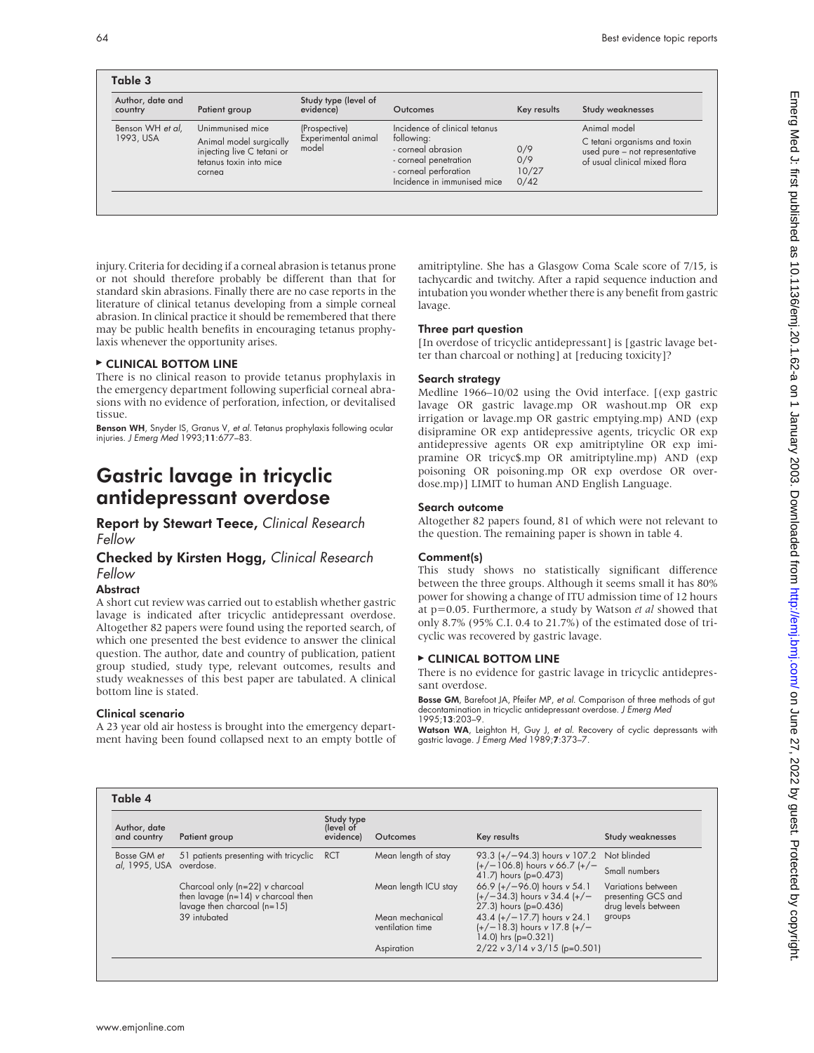| Author, date and<br>country   | Patient group                                                                                                  | Study type (level of<br>evidence)             | Outcomes                                                                                                                                           | Key results                 | Study weaknesses                                                                                                |
|-------------------------------|----------------------------------------------------------------------------------------------------------------|-----------------------------------------------|----------------------------------------------------------------------------------------------------------------------------------------------------|-----------------------------|-----------------------------------------------------------------------------------------------------------------|
| Benson WH et al,<br>1993, USA | Unimmunised mice<br>Animal model surgically<br>injecting live C tetani or<br>tetanus toxin into mice<br>cornea | (Prospective)<br>Experimental animal<br>model | Incidence of clinical tetanus<br>following:<br>- corneal abrasion<br>- corneal penetration<br>- corneal perforation<br>Incidence in immunised mice | 0/9<br>0/9<br>10/27<br>0/42 | Animal model<br>C tetani organisms and toxin<br>used pure – not representative<br>of usual clinical mixed flora |

injury. Criteria for deciding if a corneal abrasion is tetanus prone or not should therefore probably be different than that for standard skin abrasions. Finally there are no case reports in the literature of clinical tetanus developing from a simple corneal abrasion. In clinical practice it should be remembered that there may be public health benefits in encouraging tetanus prophylaxis whenever the opportunity arises.

### $\triangleright$  CLINICAL BOTTOM LINE

There is no clinical reason to provide tetanus prophylaxis in the emergency department following superficial corneal abrasions with no evidence of perforation, infection, or devitalised tissue.

**Benson WH**, Snyder IS, Granus V, *et al*. Tetanus prophylaxis following ocular<br>injuries. *J Emerg Med* 1993;**11**:677–83.

# Gastric lavage in tricyclic antidepressant overdose

Report by Stewart Teece, Clinical Research Fellow

# Checked by Kirsten Hogg, Clinical Research Fellow

### **Abstract**

A short cut review was carried out to establish whether gastric lavage is indicated after tricyclic antidepressant overdose. Altogether 82 papers were found using the reported search, of which one presented the best evidence to answer the clinical question. The author, date and country of publication, patient group studied, study type, relevant outcomes, results and study weaknesses of this best paper are tabulated. A clinical bottom line is stated.

### Clinical scenario

A 23 year old air hostess is brought into the emergency department having been found collapsed next to an empty bottle of amitriptyline. She has a Glasgow Coma Scale score of 7/15, is tachycardic and twitchy. After a rapid sequence induction and intubation you wonder whether there is any benefit from gastric lavage.

### Three part question

[In overdose of tricyclic antidepressant] is [gastric lavage better than charcoal or nothing] at [reducing toxicity]?

### Search strategy

Medline 1966–10/02 using the Ovid interface. [(exp gastric lavage OR gastric lavage.mp OR washout.mp OR exp irrigation or lavage.mp OR gastric emptying.mp) AND (exp disipramine OR exp antidepressive agents, tricyclic OR exp antidepressive agents OR exp amitriptyline OR exp imipramine OR tricyc\$.mp OR amitriptyline.mp) AND (exp poisoning OR poisoning.mp OR exp overdose OR overdose.mp)] LIMIT to human AND English Language.

### Search outcome

Altogether 82 papers found, 81 of which were not relevant to the question. The remaining paper is shown in table 4.

### Comment(s)

This study shows no statistically significant difference between the three groups. Although it seems small it has 80% power for showing a change of ITU admission time of 12 hours at p=0.05. Furthermore, a study by Watson *et al* showed that only 8.7% (95% C.I. 0.4 to 21.7%) of the estimated dose of tricyclic was recovered by gastric lavage.

### $\triangleright$  CLINICAL BOTTOM LINE

There is no evidence for gastric lavage in tricyclic antidepressant overdose.

Bosse GM, Barefoot JA, Pfeifer MP, et al. Comparison of three methods of gut decontamination in tricyclic antidepressant overdose. J Emerg Med 1995;13:203–9.

Watson WA, Leighton H, Guy J, et al. Recovery of cyclic depressants with gastric lavage. J Emerg Med 1989;7:373–7.

| Author, date<br>and country  | Patient group                                                                                          | Study type<br>(level of<br>evidence) | Outcomes                            | Key results                                                                                 | Study weaknesses                                                |
|------------------------------|--------------------------------------------------------------------------------------------------------|--------------------------------------|-------------------------------------|---------------------------------------------------------------------------------------------|-----------------------------------------------------------------|
| Bosse GM et<br>al, 1995, USA | 51 patients presenting with tricyclic RCT                                                              |                                      | Mean length of stay                 | 93.3 (+/- 94.3) hours v 107.2<br>$(+/- 106.8)$ hours v 66.7 $(+/-$<br>41.7) hours (p=0.473) | Not blinded                                                     |
|                              | overdose.                                                                                              |                                      |                                     |                                                                                             | Small numbers                                                   |
|                              | Charcoal only (n=22) v charcoal<br>then lavage $(n=14)$ v charcoal then<br>lavage then charcoal (n=15) |                                      | Mean length ICU stay                | 66.9 (+/- 96.0) hours v 54.1<br>$(+/- 34.3)$ hours v 34.4 $(+/-$<br>27.3) hours (p=0.436)   | Variations between<br>presenting GCS and<br>drug levels between |
|                              | 39 intubated                                                                                           |                                      | Mean mechanical<br>ventilation time | 43.4 (+/- 17.7) hours v 24.1<br>$(+/- 18.3)$ hours v 17.8 $(+/-$<br>14.0) hrs $(p=0.321)$   | groups                                                          |
|                              |                                                                                                        |                                      | Aspiration                          | $2/22$ v 3/14 v 3/15 (p=0.501)                                                              |                                                                 |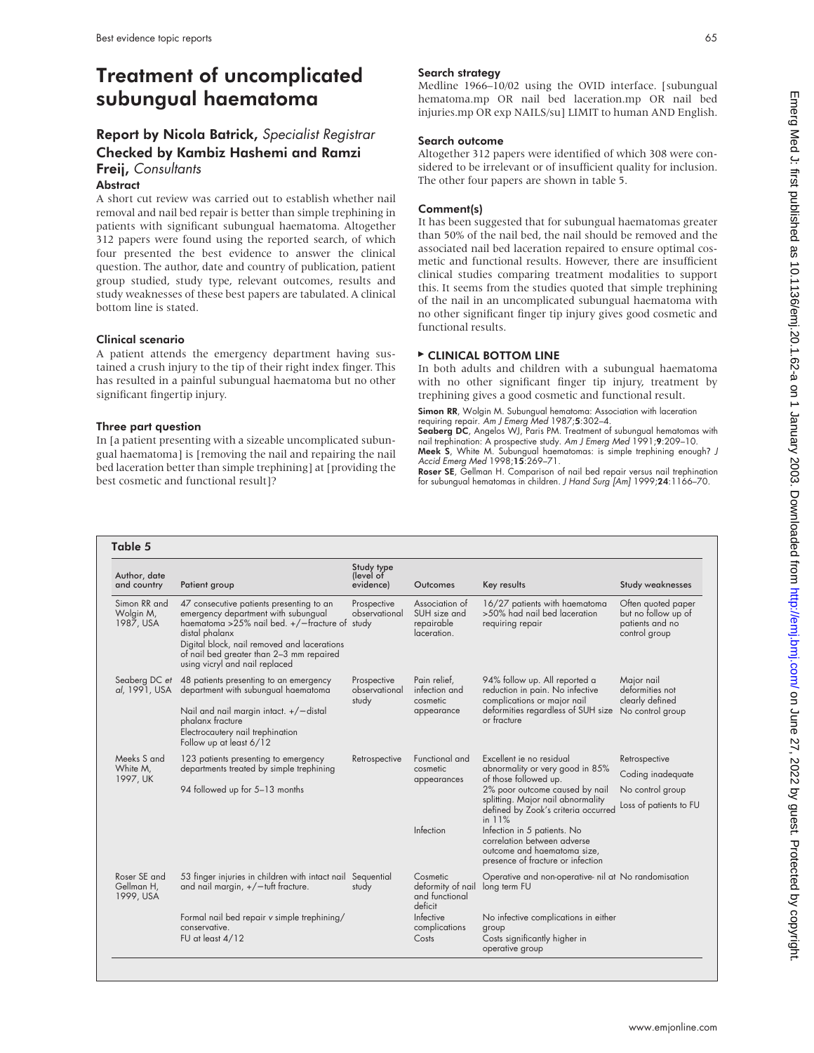# Treatment of uncomplicated subungual haematoma

# Report by Nicola Batrick, Specialist Registrar Checked by Kambiz Hashemi and Ramzi Freij, Consultants

## Abstract

A short cut review was carried out to establish whether nail removal and nail bed repair is better than simple trephining in patients with significant subungual haematoma. Altogether 312 papers were found using the reported search, of which four presented the best evidence to answer the clinical question. The author, date and country of publication, patient group studied, study type, relevant outcomes, results and study weaknesses of these best papers are tabulated. A clinical bottom line is stated.

### Clinical scenario

A patient attends the emergency department having sustained a crush injury to the tip of their right index finger. This has resulted in a painful subungual haematoma but no other significant fingertip injury.

### Three part question

In [a patient presenting with a sizeable uncomplicated subungual haematoma] is [removing the nail and repairing the nail bed laceration better than simple trephining] at [providing the best cosmetic and functional result]?

## Search strategy

Medline 1966–10/02 using the OVID interface. [subungual hematoma.mp OR nail bed laceration.mp OR nail bed injuries.mp OR exp NAILS/su] LIMIT to human AND English.

### Search outcome

Altogether 312 papers were identified of which 308 were considered to be irrelevant or of insufficient quality for inclusion. The other four papers are shown in table 5.

## Comment(s)

It has been suggested that for subungual haematomas greater than 50% of the nail bed, the nail should be removed and the associated nail bed laceration repaired to ensure optimal cosmetic and functional results. However, there are insufficient clinical studies comparing treatment modalities to support this. It seems from the studies quoted that simple trephining of the nail in an uncomplicated subungual haematoma with no other significant finger tip injury gives good cosmetic and functional results.

# $\triangleright$  CLINICAL BOTTOM LINE

In both adults and children with a subungual haematoma with no other significant finger tip injury, treatment by trephining gives a good cosmetic and functional result.

Simon RR, Wolgin M. Subungual hematoma: Association with laceration requiring repair. A*m J Emerg Med* 1987;**5**:302–4.<br>**Seaberg DC**, Angelos WJ, Paris PM. Treatment of subungual hematomas with

nail trephination: A prospective study. Am J Emerg Med 1991;9:209-10. **Meek S**, White M. Subungual haematomas: is simple trephining enough? J<br>*Accid Emerg Med* 1998;**15**:269–71.

Roser SE, Gellman H. Comparison of nail bed repair versus nail trephination for subungual hematomas in children. J Hand Surg [Am] 1999;24:1166–70.

|                                         |                                                                                                                                                                                                                                                                                  | Study type                            |                                                             |                                                                                                                                                                                                              |                                                                                  |  |  |  |  |
|-----------------------------------------|----------------------------------------------------------------------------------------------------------------------------------------------------------------------------------------------------------------------------------------------------------------------------------|---------------------------------------|-------------------------------------------------------------|--------------------------------------------------------------------------------------------------------------------------------------------------------------------------------------------------------------|----------------------------------------------------------------------------------|--|--|--|--|
| Author, date<br>and country             | Patient group                                                                                                                                                                                                                                                                    | (level of<br>evidence)                | Outcomes                                                    | Key results                                                                                                                                                                                                  | Study weaknesses                                                                 |  |  |  |  |
| Simon RR and<br>Wolgin M,<br>1987, USA  | 47 consecutive patients presenting to an<br>emergency department with subungual<br>haematoma >25% nail bed. +/- fracture of study<br>distal phalanx<br>Digital block, nail removed and lacerations<br>of nail bed greater than 2-3 mm repaired<br>using vicryl and nail replaced | Prospective<br>observational          | Association of<br>SUH size and<br>repairable<br>laceration. | 16/27 patients with haematoma<br>>50% had nail bed laceration<br>requiring repair                                                                                                                            | Often quoted paper<br>but no follow up of<br>patients and no<br>control group    |  |  |  |  |
|                                         | Seaberg DC et 48 patients presenting to an emergency<br>al, 1991, USA department with subungual haematoma<br>Nail and nail margin intact. +/- distal<br>phalanx fracture<br>Electrocautery nail trephination<br>Follow up at least 6/12                                          | Prospective<br>observational<br>study | Pain relief,<br>infection and<br>cosmetic<br>appearance     | 94% follow up. All reported a<br>reduction in pain. No infective<br>complications or major nail<br>deformities regardless of SUH size<br>or fracture                                                         | Major nail<br>deformities not<br>clearly defined<br>No control group             |  |  |  |  |
| Meeks S and<br>White M,<br>1997, UK     | 123 patients presenting to emergency<br>departments treated by simple trephining<br>94 followed up for 5-13 months                                                                                                                                                               | Retrospective                         | Functional and<br>cosmetic<br>appearances                   | Excellent je no residual<br>abnormality or very good in 85%<br>of those followed up.<br>2% poor outcome caused by nail<br>splitting. Major nail abnormality<br>defined by Zook's criteria occurred<br>in 11% | Retrospective<br>Coding inadequate<br>No control group<br>Loss of patients to FU |  |  |  |  |
|                                         |                                                                                                                                                                                                                                                                                  |                                       | Infection                                                   | Infection in 5 patients. No<br>correlation between adverse<br>outcome and haematoma size.<br>presence of fracture or infection                                                                               |                                                                                  |  |  |  |  |
| Roser SE and<br>Gellman H,<br>1999, USA | 53 finger injuries in children with intact nail Sequential<br>and nail margin, $+/-$ tuft fracture.                                                                                                                                                                              | study                                 | Cosmetic<br>deformity of nail<br>and functional<br>deficit  | Operative and non-operative- nil at No randomisation<br>long term FU                                                                                                                                         |                                                                                  |  |  |  |  |
|                                         | Formal nail bed repair v simple trephining/<br>conservative.<br>FU at least 4/12                                                                                                                                                                                                 |                                       | Infective<br>complications<br>Costs                         | No infective complications in either<br>group<br>Costs significantly higher in<br>operative group                                                                                                            |                                                                                  |  |  |  |  |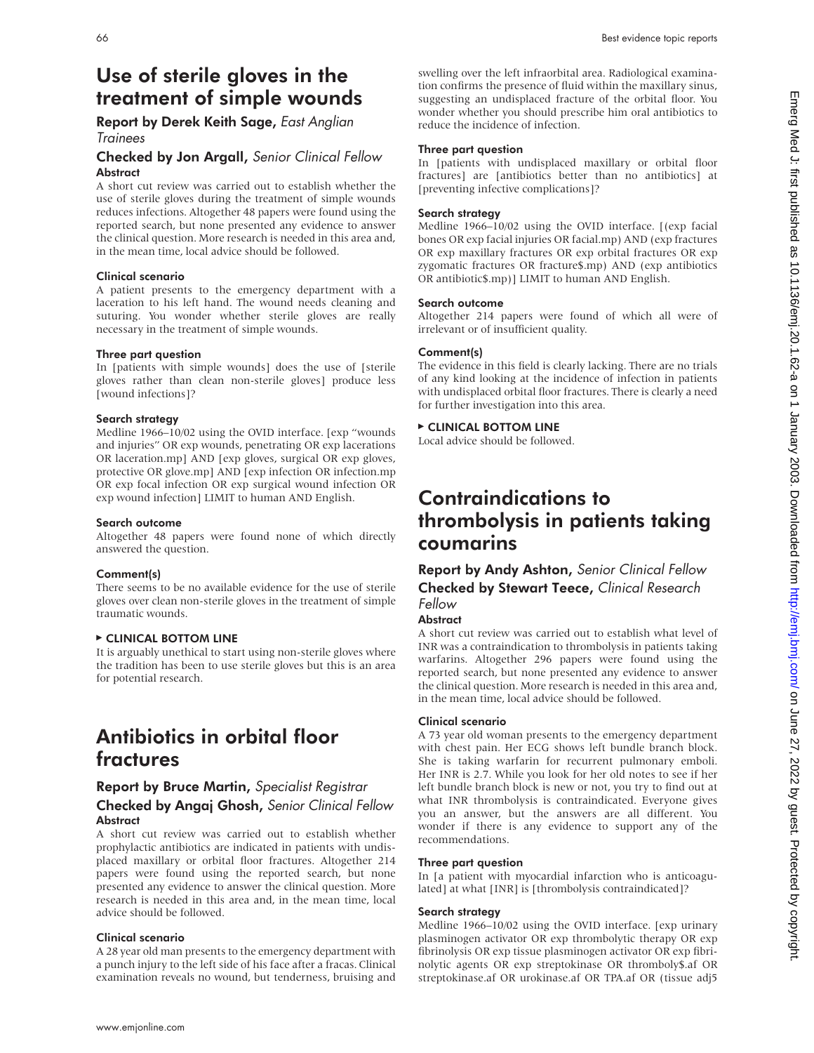# Use of sterile gloves in the treatment of simple wounds

# Report by Derek Keith Sage, East Anglian Trainees

# Checked by Jon Argall, Senior Clinical Fellow Abstract

A short cut review was carried out to establish whether the use of sterile gloves during the treatment of simple wounds reduces infections. Altogether 48 papers were found using the reported search, but none presented any evidence to answer the clinical question. More research is needed in this area and, in the mean time, local advice should be followed.

### Clinical scenario

A patient presents to the emergency department with a laceration to his left hand. The wound needs cleaning and suturing. You wonder whether sterile gloves are really necessary in the treatment of simple wounds.

## Three part question

In [patients with simple wounds] does the use of [sterile gloves rather than clean non-sterile gloves] produce less [wound infections]?

## Search strategy

Medline 1966–10/02 using the OVID interface. [exp "wounds and injuries" OR exp wounds, penetrating OR exp lacerations OR laceration.mp] AND [exp gloves, surgical OR exp gloves, protective OR glove.mp] AND [exp infection OR infection.mp OR exp focal infection OR exp surgical wound infection OR exp wound infection] LIMIT to human AND English.

### Search outcome

Altogether 48 papers were found none of which directly answered the question.

# Comment(s)

There seems to be no available evidence for the use of sterile gloves over clean non-sterile gloves in the treatment of simple traumatic wounds.

# $\triangleright$  CLINICAL BOTTOM LINE

It is arguably unethical to start using non-sterile gloves where the tradition has been to use sterile gloves but this is an area for potential research.

# Antibiotics in orbital floor fractures

# Report by Bruce Martin, Specialist Registrar Checked by Angaj Ghosh, Senior Clinical Fellow Abstract

A short cut review was carried out to establish whether prophylactic antibiotics are indicated in patients with undisplaced maxillary or orbital floor fractures. Altogether 214 papers were found using the reported search, but none presented any evidence to answer the clinical question. More research is needed in this area and, in the mean time, local advice should be followed.

## Clinical scenario

A 28 year old man presents to the emergency department with a punch injury to the left side of his face after a fracas. Clinical examination reveals no wound, but tenderness, bruising and swelling over the left infraorbital area. Radiological examination confirms the presence of fluid within the maxillary sinus, suggesting an undisplaced fracture of the orbital floor. You wonder whether you should prescribe him oral antibiotics to reduce the incidence of infection.

# Three part question

In [patients with undisplaced maxillary or orbital floor fractures] are [antibiotics better than no antibiotics] at [preventing infective complications]?

# Search strategy

Medline 1966–10/02 using the OVID interface. [(exp facial bones OR exp facial injuries OR facial.mp) AND (exp fractures OR exp maxillary fractures OR exp orbital fractures OR exp zygomatic fractures OR fracture\$.mp) AND (exp antibiotics OR antibiotic\$.mp)] LIMIT to human AND English.

## Search outcome

Altogether 214 papers were found of which all were of irrelevant or of insufficient quality.

# Comment(s)

The evidence in this field is clearly lacking. There are no trials of any kind looking at the incidence of infection in patients with undisplaced orbital floor fractures. There is clearly a need for further investigation into this area.

# $\triangleright$  CLINICAL BOTTOM LINE

Local advice should be followed.

# Contraindications to thrombolysis in patients taking coumarins

# Report by Andy Ashton, Senior Clinical Fellow Checked by Stewart Teece, Clinical Research Fellow

# **Abstract**

A short cut review was carried out to establish what level of INR was a contraindication to thrombolysis in patients taking warfarins. Altogether 296 papers were found using the reported search, but none presented any evidence to answer the clinical question. More research is needed in this area and, in the mean time, local advice should be followed.

# Clinical scenario

A 73 year old woman presents to the emergency department with chest pain. Her ECG shows left bundle branch block. She is taking warfarin for recurrent pulmonary emboli. Her INR is 2.7. While you look for her old notes to see if her left bundle branch block is new or not, you try to find out at what INR thrombolysis is contraindicated. Everyone gives you an answer, but the answers are all different. You wonder if there is any evidence to support any of the recommendations.

# Three part question

In [a patient with myocardial infarction who is anticoagulated] at what [INR] is [thrombolysis contraindicated]?

# Search strategy

Medline 1966–10/02 using the OVID interface. [exp urinary plasminogen activator OR exp thrombolytic therapy OR exp fibrinolysis OR exp tissue plasminogen activator OR exp fibrinolytic agents OR exp streptokinase OR thromboly\$.af OR streptokinase.af OR urokinase.af OR TPA.af OR (tissue adj5